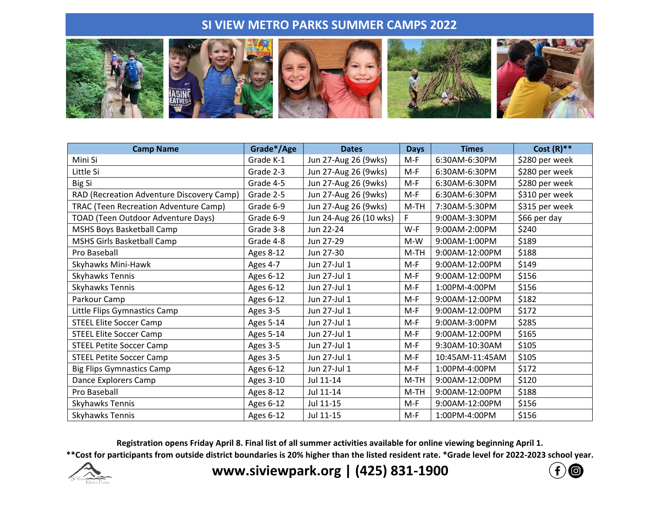## **SI VIEW METRO PARKS SUMMER CAMPS 2022**



| <b>Camp Name</b>                             | Grade*/Age       | <b>Dates</b>           | <b>Days</b> | <b>Times</b>    | Cost $(R)$ **  |
|----------------------------------------------|------------------|------------------------|-------------|-----------------|----------------|
| Mini Si                                      | Grade K-1        | Jun 27-Aug 26 (9wks)   | $M-F$       | 6:30AM-6:30PM   | \$280 per week |
| Little Si                                    | Grade 2-3        | Jun 27-Aug 26 (9wks)   | $M-F$       | 6:30AM-6:30PM   | \$280 per week |
| Big Si                                       | Grade 4-5        | Jun 27-Aug 26 (9wks)   | $M-F$       | 6:30AM-6:30PM   | \$280 per week |
| RAD (Recreation Adventure Discovery Camp)    | Grade 2-5        | Jun 27-Aug 26 (9wks)   | $M-F$       | 6:30AM-6:30PM   | \$310 per week |
| <b>TRAC (Teen Recreation Adventure Camp)</b> | Grade 6-9        | Jun 27-Aug 26 (9wks)   | $M-TH$      | 7:30AM-5:30PM   | \$315 per week |
| TOAD (Teen Outdoor Adventure Days)           | Grade 6-9        | Jun 24-Aug 26 (10 wks) | F           | 9:00AM-3:30PM   | \$66 per day   |
| MSHS Boys Basketball Camp                    | Grade 3-8        | Jun 22-24              | $W-F$       | 9:00AM-2:00PM   | \$240          |
| MSHS Girls Basketball Camp                   | Grade 4-8        | Jun 27-29              | $M-W$       | 9:00AM-1:00PM   | \$189          |
| Pro Baseball                                 | Ages 8-12        | Jun 27-30              | M-TH        | 9:00AM-12:00PM  | \$188          |
| Skyhawks Mini-Hawk                           | Ages 4-7         | Jun 27-Jul 1           | $M-F$       | 9:00AM-12:00PM  | \$149          |
| Skyhawks Tennis                              | Ages 6-12        | Jun 27-Jul 1           | $M-F$       | 9:00AM-12:00PM  | \$156          |
| <b>Skyhawks Tennis</b>                       | Ages 6-12        | Jun 27-Jul 1           | $M-F$       | 1:00PM-4:00PM   | \$156          |
| Parkour Camp                                 | Ages 6-12        | Jun 27-Jul 1           | $M-F$       | 9:00AM-12:00PM  | \$182          |
| Little Flips Gymnastics Camp                 | Ages 3-5         | Jun 27-Jul 1           | $M-F$       | 9:00AM-12:00PM  | \$172          |
| <b>STEEL Elite Soccer Camp</b>               | Ages 5-14        | Jun 27-Jul 1           | $M-F$       | 9:00AM-3:00PM   | \$285          |
| <b>STEEL Elite Soccer Camp</b>               | <b>Ages 5-14</b> | Jun 27-Jul 1           | M-F         | 9:00AM-12:00PM  | \$165          |
| <b>STEEL Petite Soccer Camp</b>              | Ages 3-5         | Jun 27-Jul 1           | $M-F$       | 9:30AM-10:30AM  | \$105          |
| <b>STEEL Petite Soccer Camp</b>              | Ages 3-5         | Jun 27-Jul 1           | $M-F$       | 10:45AM-11:45AM | \$105          |
| <b>Big Flips Gymnastics Camp</b>             | Ages 6-12        | Jun 27-Jul 1           | $M-F$       | 1:00PM-4:00PM   | \$172          |
| Dance Explorers Camp                         | Ages 3-10        | Jul 11-14              | $M-TH$      | 9:00AM-12:00PM  | \$120          |
| Pro Baseball                                 | Ages 8-12        | Jul 11-14              | M-TH        | 9:00AM-12:00PM  | \$188          |
| <b>Skyhawks Tennis</b>                       | Ages 6-12        | Jul 11-15              | M-F         | 9:00AM-12:00PM  | \$156          |
| Skyhawks Tennis                              | Ages 6-12        | Jul 11-15              | $M-F$       | 1:00PM-4:00PM   | \$156          |

**Registration opens Friday April 8. Final list of all summer activities available for online viewing beginning April 1.**

**\*\*Cost for participants from outside district boundaries is 20% higher than the listed resident rate. \*Grade level for 2022-2023 school year.**



**www.siviewpark.org | (425) 831-1900**

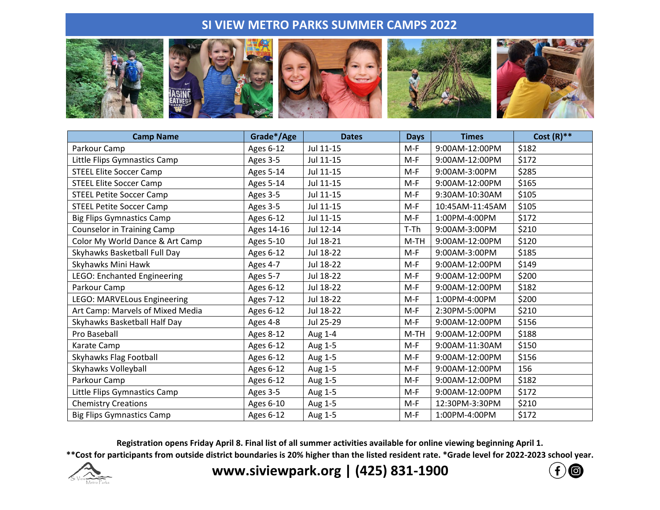## **SI VIEW METRO PARKS SUMMER CAMPS 2022**



| <b>Camp Name</b>                   | Grade*/Age       | <b>Dates</b> | <b>Days</b> | <b>Times</b>    | Cost $(R)$ ** |
|------------------------------------|------------------|--------------|-------------|-----------------|---------------|
| Parkour Camp                       | Ages 6-12        | Jul 11-15    | $M-F$       | 9:00AM-12:00PM  | \$182         |
| Little Flips Gymnastics Camp       | Ages 3-5         | Jul 11-15    | M-F         | 9:00AM-12:00PM  | \$172         |
| <b>STEEL Elite Soccer Camp</b>     | <b>Ages 5-14</b> | Jul 11-15    | M-F         | 9:00AM-3:00PM   | \$285         |
| <b>STEEL Elite Soccer Camp</b>     | <b>Ages 5-14</b> | Jul 11-15    | $M-F$       | 9:00AM-12:00PM  | \$165         |
| <b>STEEL Petite Soccer Camp</b>    | Ages 3-5         | Jul 11-15    | M-F         | 9:30AM-10:30AM  | \$105         |
| <b>STEEL Petite Soccer Camp</b>    | Ages 3-5         | Jul 11-15    | M-F         | 10:45AM-11:45AM | \$105         |
| <b>Big Flips Gymnastics Camp</b>   | Ages 6-12        | Jul 11-15    | M-F         | 1:00PM-4:00PM   | \$172         |
| <b>Counselor in Training Camp</b>  | Ages 14-16       | Jul 12-14    | $T-Th$      | 9:00AM-3:00PM   | \$210         |
| Color My World Dance & Art Camp    | <b>Ages 5-10</b> | Jul 18-21    | M-TH        | 9:00AM-12:00PM  | \$120         |
| Skyhawks Basketball Full Day       | Ages 6-12        | Jul 18-22    | $M-F$       | 9:00AM-3:00PM   | \$185         |
| Skyhawks Mini Hawk                 | Ages 4-7         | Jul 18-22    | M-F         | 9:00AM-12:00PM  | \$149         |
| LEGO: Enchanted Engineering        | Ages 5-7         | Jul 18-22    | M-F         | 9:00AM-12:00PM  | \$200         |
| Parkour Camp                       | Ages 6-12        | Jul 18-22    | M-F         | 9:00AM-12:00PM  | \$182         |
| <b>LEGO: MARVELous Engineering</b> | <b>Ages 7-12</b> | Jul 18-22    | M-F         | 1:00PM-4:00PM   | \$200         |
| Art Camp: Marvels of Mixed Media   | Ages 6-12        | Jul 18-22    | $M-F$       | 2:30PM-5:00PM   | \$210         |
| Skyhawks Basketball Half Day       | Ages 4-8         | Jul 25-29    | M-F         | 9:00AM-12:00PM  | \$156         |
| Pro Baseball                       | Ages 8-12        | Aug 1-4      | M-TH        | 9:00AM-12:00PM  | \$188         |
| Karate Camp                        | Ages 6-12        | Aug 1-5      | M-F         | 9:00AM-11:30AM  | \$150         |
| Skyhawks Flag Football             | Ages 6-12        | Aug 1-5      | M-F         | 9:00AM-12:00PM  | \$156         |
| Skyhawks Volleyball                | Ages 6-12        | Aug 1-5      | M-F         | 9:00AM-12:00PM  | 156           |
| Parkour Camp                       | Ages 6-12        | Aug 1-5      | M-F         | 9:00AM-12:00PM  | \$182         |
| Little Flips Gymnastics Camp       | Ages 3-5         | Aug 1-5      | M-F         | 9:00AM-12:00PM  | \$172         |
| <b>Chemistry Creations</b>         | Ages 6-10        | Aug 1-5      | M-F         | 12:30PM-3:30PM  | \$210         |
| <b>Big Flips Gymnastics Camp</b>   | Ages 6-12        | Aug 1-5      | M-F         | 1:00PM-4:00PM   | \$172         |

**Registration opens Friday April 8. Final list of all summer activities available for online viewing beginning April 1.**

**\*\*Cost for participants from outside district boundaries is 20% higher than the listed resident rate. \*Grade level for 2022-2023 school year.**



**www.siviewpark.org | (425) 831-1900**